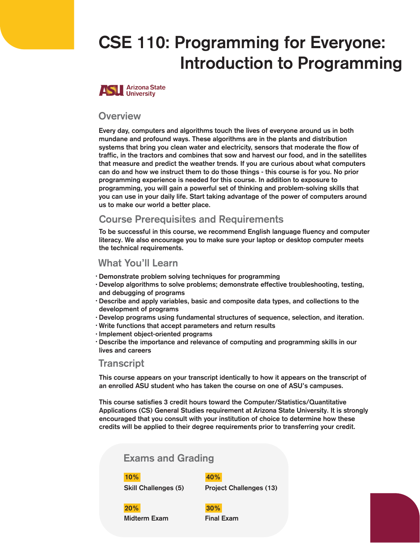# CSE 110: Programming for Everyone: Introduction to Programming



## **Overview**

Every day, computers and algorithms touch the lives of everyone around us in both mundane and profound ways. These algorithms are in the plants and distribution systems that bring you clean water and electricity, sensors that moderate the flow of traffic, in the tractors and combines that sow and harvest our food, and in the satellites that measure and predict the weather trends. If you are curious about what computers can do and how we instruct them to do those things - this course is for you. No prior programming experience is needed for this course. In addition to exposure to programming, you will gain a powerful set of thinking and problem-solving skills that you can use in your daily life. Start taking advantage of the power of computers around us to make our world a better place.

# Course Prerequisites and Requirements

To be successful in this course, we recommend English language fluency and computer literacy. We also encourage you to make sure your laptop or desktop computer meets the technical requirements.

# What You'll Learn

- Demonstrate problem solving techniques for programming •
- Develop algorithms to solve problems; demonstrate effective troubleshooting, testing, and debugging of programs
- Describe and apply variables, basic and composite data types, and collections to the development of programs
- Develop programs using fundamental structures of sequence, selection, and iteration. •
- Write functions that accept parameters and return results •
- · Implement object-oriented programs
- Describe the importance and relevance of computing and programming skills in our •lives and careers

## **Transcript**

This course appears on your transcript identically to how it appears on the transcript of an enrolled ASU student who has taken the course on one of ASU's campuses.

This course satisfies 3 credit hours toward the Computer/Statistics/Quantitative Applications (CS) General Studies requirement at Arizona State University. It is strongly encouraged that you consult with your institution of choice to determine how these credits will be applied to their degree requirements prior to transferring your credit.

# Exams and Grading

### 10% 40%

Skill Challenges (5) Project Challenges (13)

Midterm Exam Final Exam 20% 30%